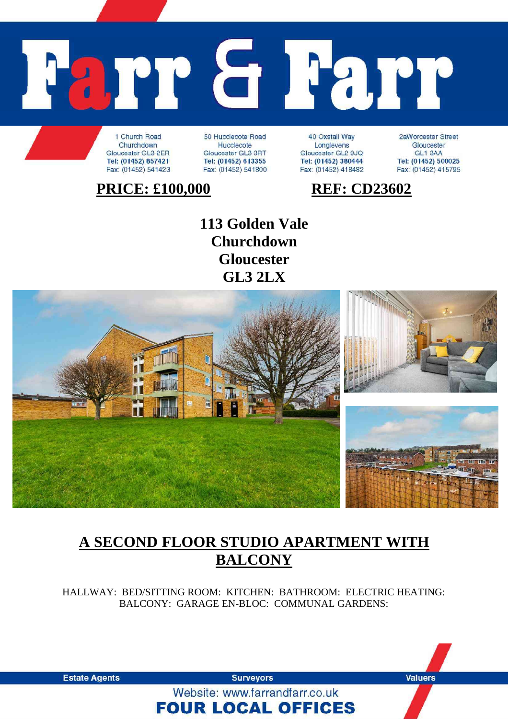# arr a **Parr**

1 Church Road Churchdown Gloucester GL3 2ER Tel: (01452) 857421 Fax: (01452) 541423

50 Hucclecote Road Hucclecote Gloucester GL3 3RT Tel: (01452) 613355 Fax: (01452) 541800

40 Oxstall Way Longlevens Gloucester GL2 9JQ Tel: (01452) 380444 Fax: (01452) 418482

2aWorcester Street Gloucester GL1 3AA Tel: (01452) 500025 Fax: (01452) 415795

# **PRICE: £100,000 REF: CD23602**

**113 Golden Vale Churchdown Gloucester GL3 2LX** 



## **A SECOND FLOOR STUDIO APARTMENT WITH BALCONY**

HALLWAY: BED/SITTING ROOM: KITCHEN: BATHROOM: ELECTRIC HEATING: BALCONY: GARAGE EN-BLOC: COMMUNAL GARDENS:

**Estate Agents** 

**Surveyors** Website: www.farrandfarr.co.uk

**FOUR LOCAL OFFICES** 

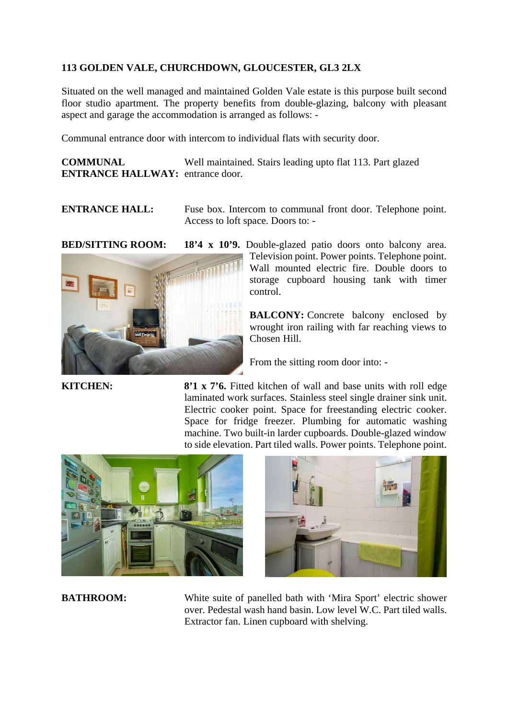### **113 GOLDEN VALE, CHURCHDOWN, GLOUCESTER, GL3 2LX**

Situated on the well managed and maintained Golden Vale estate is this purpose built second floor studio apartment. The property benefits from double-glazing, balcony with pleasant aspect and garage the accommodation is arranged as follows: -

Communal entrance door with intercom to individual flats with security door.

**COMMUNAL** Well maintained. Stairs leading upto flat 113. Part glazed **ENTRANCE HALLWAY:** entrance door.

**ENTRANCE HALL:** Fuse box. Intercom to communal front door. Telephone point. Access to loft space. Doors to: -



**BED/SITTING ROOM: 18'4 x 10'9.** Double-glazed patio doors onto balcony area. Television point. Power points. Telephone point. Wall mounted electric fire. Double doors to storage cupboard housing tank with timer control.

> **BALCONY:** Concrete balcony enclosed by wrought iron railing with far reaching views to Chosen Hill.

From the sitting room door into: -

**KITCHEN:** 8<sup>2</sup>1 x 7<sup>2</sup>6. Fitted kitchen of wall and base units with roll edge laminated work surfaces. Stainless steel single drainer sink unit. Electric cooker point. Space for freestanding electric cooker. Space for fridge freezer. Plumbing for automatic washing machine. Two built-in larder cupboards. Double-glazed window to side elevation. Part tiled walls. Power points. Telephone point.





**BATHROOM:** White suite of panelled bath with 'Mira Sport' electric shower over. Pedestal wash hand basin. Low level W.C. Part tiled walls. Extractor fan. Linen cupboard with shelving.